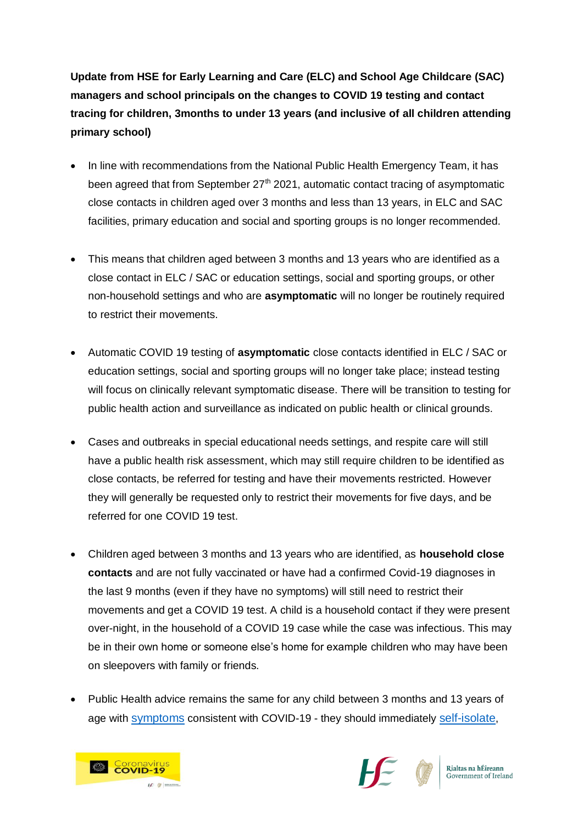**Update from HSE for Early Learning and Care (ELC) and School Age Childcare (SAC) managers and school principals on the changes to COVID 19 testing and contact tracing for children, 3months to under 13 years (and inclusive of all children attending primary school)**

- In line with recommendations from the National Public Health Emergency Team, it has been agreed that from September 27<sup>th</sup> 2021, automatic contact tracing of asymptomatic close contacts in children aged over 3 months and less than 13 years, in ELC and SAC facilities, primary education and social and sporting groups is no longer recommended.
- This means that children aged between 3 months and 13 years who are identified as a close contact in ELC / SAC or education settings, social and sporting groups, or other non-household settings and who are **asymptomatic** will no longer be routinely required to restrict their movements.
- Automatic COVID 19 testing of **asymptomatic** close contacts identified in ELC / SAC or education settings, social and sporting groups will no longer take place; instead testing will focus on clinically relevant symptomatic disease. There will be transition to testing for public health action and surveillance as indicated on public health or clinical grounds.
- Cases and outbreaks in special educational needs settings, and respite care will still have a public health risk assessment, which may still require children to be identified as close contacts, be referred for testing and have their movements restricted. However they will generally be requested only to restrict their movements for five days, and be referred for one COVID 19 test.
- Children aged between 3 months and 13 years who are identified, as **household close contacts** and are not fully vaccinated or have had a confirmed Covid-19 diagnoses in the last 9 months (even if they have no symptoms) will still need to restrict their movements and get a COVID 19 test. A child is a household contact if they were present over-night, in the household of a COVID 19 case while the case was infectious. This may be in their own home or someone else's home for example children who may have been on sleepovers with family or friends.
- Public Health advice remains the same for any child between 3 months and 13 years of age with [symptoms](https://www2.hse.ie/conditions/covid19/symptoms/overview/) consistent with COVID-19 - they should immediately [self-isolate](https://www2.hse.ie/conditions/covid19/restricted-movements/),



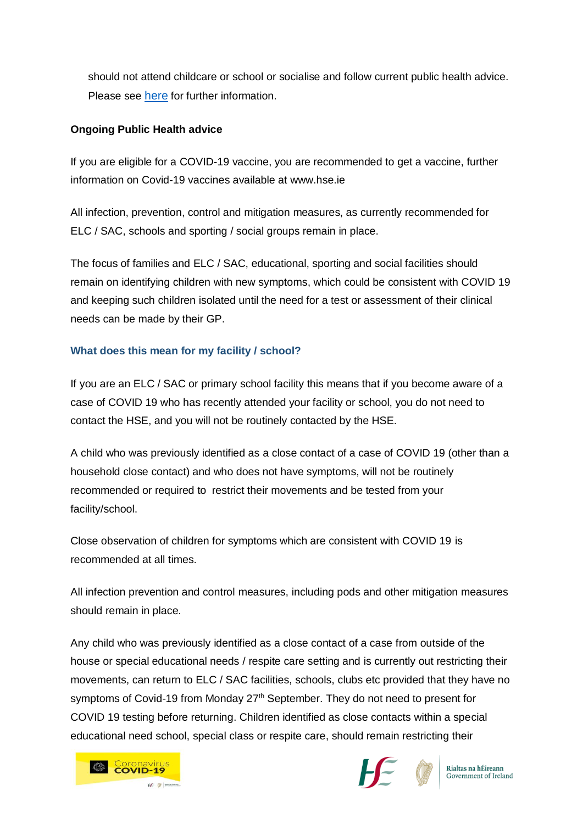should not attend childcare or school or socialise and follow current public health advice. Please see [here](https://www.hpsc.ie/a-z/respiratory/coronavirus/novelcoronavirus/algorithms/) for further information.

### **Ongoing Public Health advice**

If you are eligible for a COVID-19 vaccine, you are recommended to get a vaccine, further information on Covid-19 vaccines available at www.hse.ie

All infection, prevention, control and mitigation measures, as currently recommended for ELC / SAC, schools and sporting / social groups remain in place.

The focus of families and ELC / SAC, educational, sporting and social facilities should remain on identifying children with new symptoms, which could be consistent with COVID 19 and keeping such children isolated until the need for a test or assessment of their clinical needs can be made by their GP.

## **What does this mean for my facility / school?**

If you are an ELC / SAC or primary school facility this means that if you become aware of a case of COVID 19 who has recently attended your facility or school, you do not need to contact the HSE, and you will not be routinely contacted by the HSE.

A child who was previously identified as a close contact of a case of COVID 19 (other than a household close contact) and who does not have symptoms, will not be routinely recommended or required to restrict their movements and be tested from your facility/school.

Close observation of children for symptoms which are consistent with COVID 19 is recommended at all times.

All infection prevention and control measures, including pods and other mitigation measures should remain in place.

Any child who was previously identified as a close contact of a case from outside of the house or special educational needs / respite care setting and is currently out restricting their movements, can return to ELC / SAC facilities, schools, clubs etc provided that they have no symptoms of Covid-19 from Monday 27<sup>th</sup> September. They do not need to present for COVID 19 testing before returning. Children identified as close contacts within a special educational need school, special class or respite care, should remain restricting their





Rialtas na hÉireann Government of Ireland